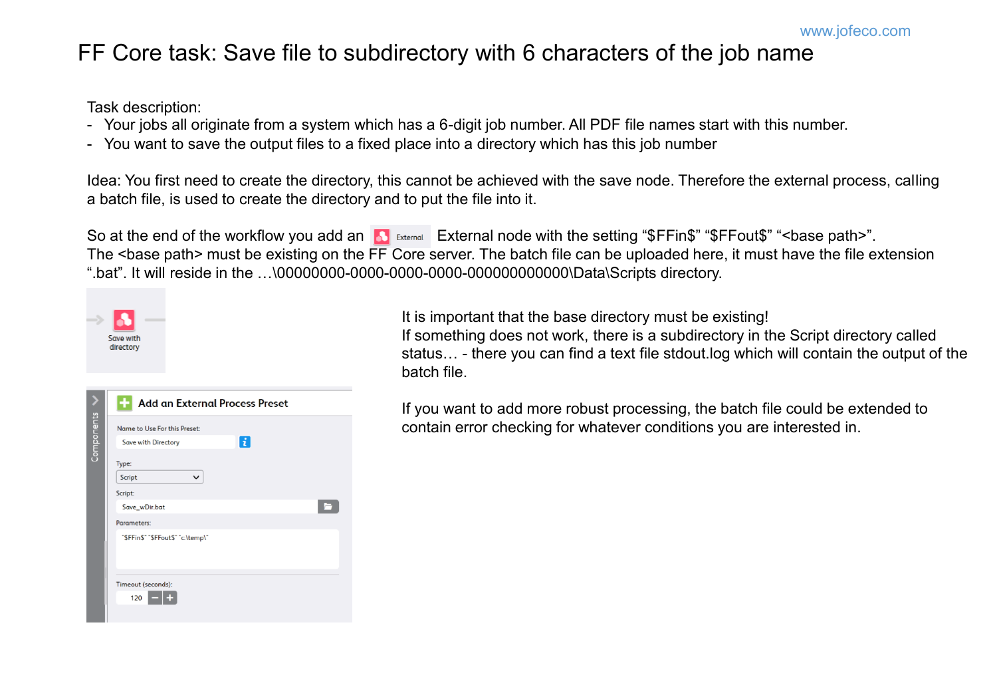## FF Core task: Save file to subdirectory with 6 characters of the job name

Task description:

- Your jobs all originate from a system which has a 6-digit job number. All PDF file names start with this number.
- You want to save the output files to a fixed place into a directory which has this job number

Idea: You first need to create the directory, this cannot be achieved with the save node. Therefore the external process, calling a batch file, is used to create the directory and to put the file into it.

So at the end of the workflow you add an **A** External node with the setting "\$FFin\$" "\$FFout\$" "<br/>base path>". The <base path> must be existing on the FF Core server. The batch file can be uploaded here, it must have the file extension ".bat". It will reside in the …\00000000-0000-0000-0000-000000000000\Data\Scripts directory.

| Add an External Process Preset    |             |  |
|-----------------------------------|-------------|--|
| Name to Use For this Preset:      |             |  |
| Save with Directory               | $\mathbf i$ |  |
| Type:                             |             |  |
| Script<br>v                       |             |  |
| Script:<br>Save_wDir.bat          |             |  |
| Parameters:                       |             |  |
| "\$FFin\$" "\$FFout\$" "c:\temp\" |             |  |
|                                   |             |  |

It is important that the base directory must be existing! If something does not work, there is a subdirectory in the Script directory called status… - there you can find a text file stdout.log which will contain the output of the batch file.

If you want to add more robust processing, the batch file could be extended to contain error checking for whatever conditions you are interested in.